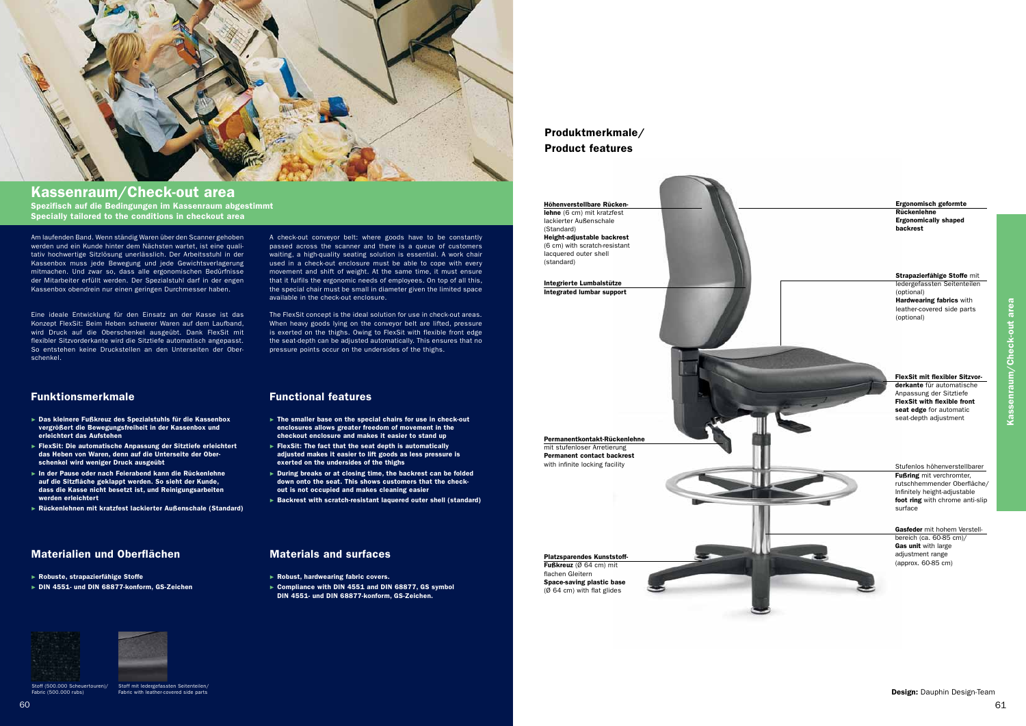

# Kassenraum/Check-out area

Am laufenden Band. Wenn ständig Waren über den Scanner gehoben werden und ein Kunde hinter dem Nächsten wartet, ist eine quali tativ hochwertige Sitzlösung unerlässlich. Der Arbeitsstuhl in der Kassenbox muss jede Bewegung und jede Gewichtsverlagerung mitmachen. Und zwar so, dass alle ergonomischen Bedürfnisse der Mitarbeiter erfüllt werden. Der Spezialstuhl darf in der engen Kassenbox obendrein nur einen geringen Durchmesser haben.

Eine ideale Entwicklung für den Einsatz an der Kasse ist das Konzept FlexSit: Beim Heben schwerer Waren auf dem Laufband, wird Druck auf die Oberschenkel ausgeübt. Dank FlexSit mit flexibler Sitzvorderkante wird die Sitztiefe automatisch angepasst. So entstehen keine Druckstellen an den Unterseiten der Ober schenkel.

A check-out conveyor belt: where goods have to be constantly passed across the scanner and there is a queue of customers waiting, a high-quality seating solution is essential. A work chair used in a check-out enclosure must be able to cope with every movement and shift of weight. At the same time, it must ensure that it fulfils the ergonomic needs of employees. On top of all this, the special chair must be small in diameter given the limited space available in the check-out enclosure.

The FlexSit concept is the ideal solution for use in check-out areas. When heavy goods lying on the conveyor belt are lifted, pressure is exerted on the thighs. Owing to FlexSit with flexible front edge the seat-depth can be adjusted automatically. This ensures that no pressure points occur on the undersides of the thighs.

Spezifisch auf die Bedingungen im Kassenraum abgestimmt Specially tailored to the conditions in checkout area

## Materialien und Oberflächen Materials and surfaces

- ► Robust, hardwearing fabric covers.
- ► Compliance with DIN 4551 and DIN 68877, GS symbol DIN 4551- und DIN 68877-konform, GS-Zeichen.

## Funktionsmerkmale Functional features

- ► The smaller base on the special chairs for use in check-out enclosures allows greater freedom of movement in the checkout enclosure and makes it easier to stand up
- ► FlexSit: The fact that the seat depth is automatically adjusted makes it easier to lift goods as less pressure is exerted on the undersides of the thighs
- ► During breaks or at closing time, the backrest can be folded down onto the seat. This shows customers that the checkout is not occupied and makes cleaning easier
- ► Backrest with scratch-resistant laquered outer shell (standard)

- ► Das kleinere Fußkreuz des Spezialstuhls für die Kassenbox vergrößert die Bewegungsfreiheit in der Kassenbox und erleichtert das Aufstehen
- ► FlexSit: Die automatische Anpassung der Sitztiefe erleichtert das Heben von Waren, denn auf die Unterseite der Oberschenkel wird weniger Druck ausgeübt
- ► In der Pause oder nach Feierabend kann die Rückenlehne auf die Sitzfläche geklappt werden. So sieht der Kunde, dass die Kasse nicht besetzt ist, und Reinigungsarbeiten werden erleichtert
- ► Rückenlehnen mit kratzfest lackierter Außenschale (Standard)

- ► Robuste, strapazierfähige Stoffe
- ► DIN 4551- und DIN 68877-konform, GS-Zeichen



Stoff (500.000 Scheuertouren)/ Fabric (500.000 rubs)

Stoff mit ledergefassten Seitenteilen/ Fabric with leather-covered side parts

Kassenraum/Check-out area

Kassenraum/Check-out area

## Produktmerkmale/ Product features

Höhenverstellbare Rücken lehne (6 cm) mit kratzfest lackierter Außenschale (Standard) Height-adjustable backrest (6 cm) with scratch-resistant lacquered outer shell (standard)

Integrierte Lumbalstütze Integrated lumbar support

Permanentkontakt-Rückenlehne mit stufenloser Arretierung Permanent contact backrest with infinite locking facility

Platzsparendes Kunststoff-Fußkreuz (Ø 64 cm) mit flachen Gleitern Space-saving plastic base (Ø 64 cm) with flat glides

## Ergonomisch geformte Rückenlehne Ergonomically shaped backrest FlexSit mit flexibler Sitzvor derkante für automatische Anpassung der Sitztiefe FlexSit with flexible front seat edge for automatic seat-depth adjustment Strapazierfähige Stoffe mit ledergefassten Seitenteilen (optional) Hardwearing fabrics with leather-covered side parts (optional) Gasfeder mit hohem Verstellbereich (ca. 60-85 cm)/ Gas unit with large adjustment range (approx. 60-85 cm) Stufenlos höhenverstellbarer Fußring mit verchromter, rutschhemmender Oberfläche/ Infinitely height-adjustable foot ring with chrome anti-slip surface